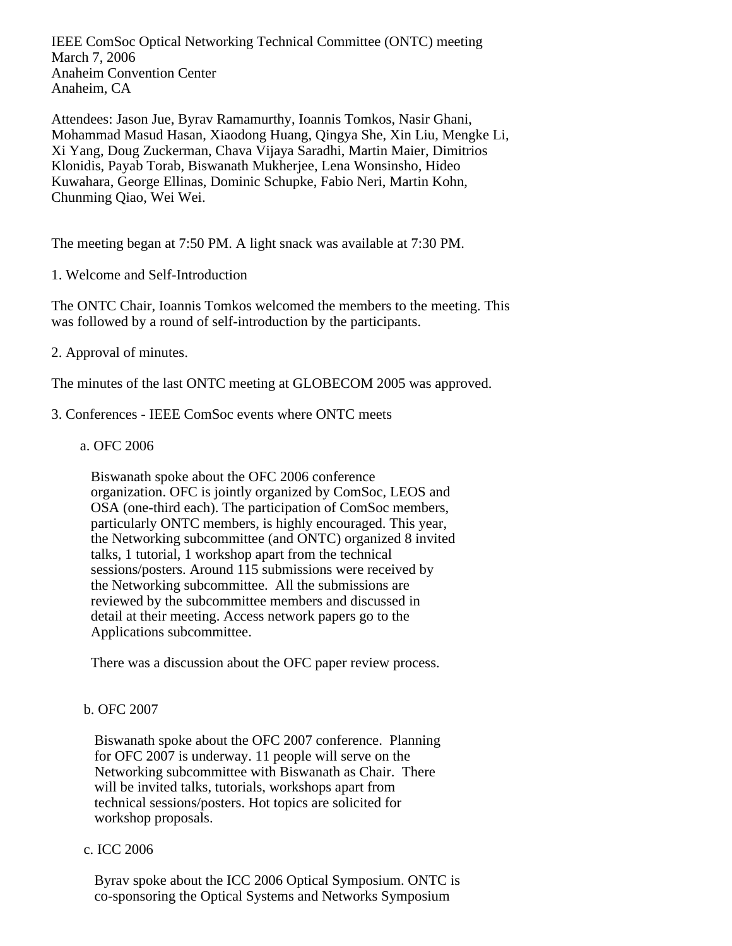IEEE ComSoc Optical Networking Technical Committee (ONTC) meeting March 7, 2006 Anaheim Convention Center Anaheim, CA

Attendees: Jason Jue, Byrav Ramamurthy, Ioannis Tomkos, Nasir Ghani, Mohammad Masud Hasan, Xiaodong Huang, Qingya She, Xin Liu, Mengke Li, Xi Yang, Doug Zuckerman, Chava Vijaya Saradhi, Martin Maier, Dimitrios Klonidis, Payab Torab, Biswanath Mukherjee, Lena Wonsinsho, Hideo Kuwahara, George Ellinas, Dominic Schupke, Fabio Neri, Martin Kohn, Chunming Qiao, Wei Wei.

The meeting began at 7:50 PM. A light snack was available at 7:30 PM.

1. Welcome and Self-Introduction

The ONTC Chair, Ioannis Tomkos welcomed the members to the meeting. This was followed by a round of self-introduction by the participants.

# 2. Approval of minutes.

The minutes of the last ONTC meeting at GLOBECOM 2005 was approved.

- 3. Conferences IEEE ComSoc events where ONTC meets
	- a. OFC 2006

 Biswanath spoke about the OFC 2006 conference organization. OFC is jointly organized by ComSoc, LEOS and OSA (one-third each). The participation of ComSoc members, particularly ONTC members, is highly encouraged. This year, the Networking subcommittee (and ONTC) organized 8 invited talks, 1 tutorial, 1 workshop apart from the technical sessions/posters. Around 115 submissions were received by the Networking subcommittee. All the submissions are reviewed by the subcommittee members and discussed in detail at their meeting. Access network papers go to the Applications subcommittee.

There was a discussion about the OFC paper review process.

# b. OFC 2007

 Biswanath spoke about the OFC 2007 conference. Planning for OFC 2007 is underway. 11 people will serve on the Networking subcommittee with Biswanath as Chair. There will be invited talks, tutorials, workshops apart from technical sessions/posters. Hot topics are solicited for workshop proposals.

## c. ICC 2006

 Byrav spoke about the ICC 2006 Optical Symposium. ONTC is co-sponsoring the Optical Systems and Networks Symposium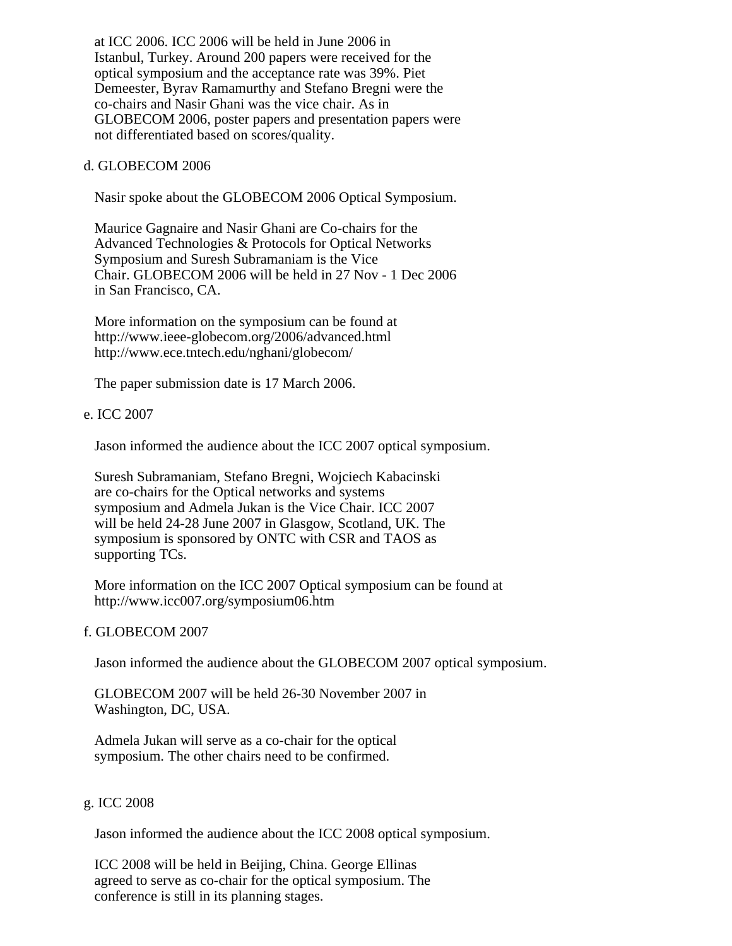at ICC 2006. ICC 2006 will be held in June 2006 in Istanbul, Turkey. Around 200 papers were received for the optical symposium and the acceptance rate was 39%. Piet Demeester, Byrav Ramamurthy and Stefano Bregni were the co-chairs and Nasir Ghani was the vice chair. As in GLOBECOM 2006, poster papers and presentation papers were not differentiated based on scores/quality.

## d. GLOBECOM 2006

Nasir spoke about the GLOBECOM 2006 Optical Symposium.

 Maurice Gagnaire and Nasir Ghani are Co-chairs for the Advanced Technologies & Protocols for Optical Networks Symposium and Suresh Subramaniam is the Vice Chair. GLOBECOM 2006 will be held in 27 Nov - 1 Dec 2006 in San Francisco, CA.

 More information on the symposium can be found at http://www.ieee-globecom.org/2006/advanced.html http://www.ece.tntech.edu/nghani/globecom/

The paper submission date is 17 March 2006.

# e. ICC 2007

Jason informed the audience about the ICC 2007 optical symposium.

 Suresh Subramaniam, Stefano Bregni, Wojciech Kabacinski are co-chairs for the Optical networks and systems symposium and Admela Jukan is the Vice Chair. ICC 2007 will be held 24-28 June 2007 in Glasgow, Scotland, UK. The symposium is sponsored by ONTC with CSR and TAOS as supporting TCs.

 More information on the ICC 2007 Optical symposium can be found at http://www.icc007.org/symposium06.htm

## f. GLOBECOM 2007

Jason informed the audience about the GLOBECOM 2007 optical symposium.

 GLOBECOM 2007 will be held 26-30 November 2007 in Washington, DC, USA.

 Admela Jukan will serve as a co-chair for the optical symposium. The other chairs need to be confirmed.

# g. ICC 2008

Jason informed the audience about the ICC 2008 optical symposium.

 ICC 2008 will be held in Beijing, China. George Ellinas agreed to serve as co-chair for the optical symposium. The conference is still in its planning stages.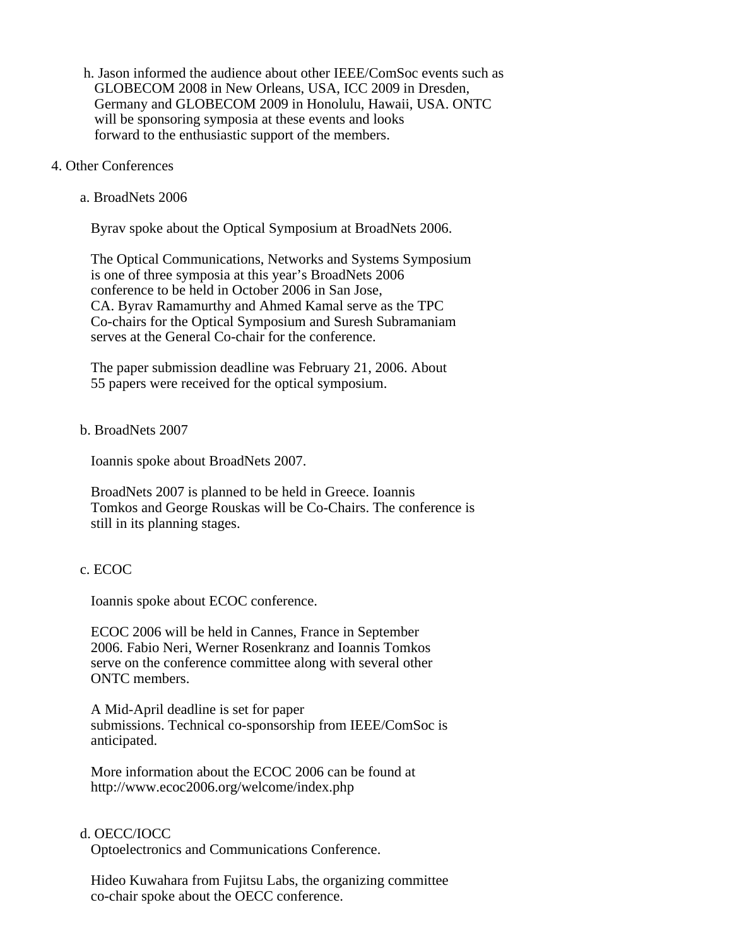- h. Jason informed the audience about other IEEE/ComSoc events such as GLOBECOM 2008 in New Orleans, USA, ICC 2009 in Dresden, Germany and GLOBECOM 2009 in Honolulu, Hawaii, USA. ONTC will be sponsoring symposia at these events and looks forward to the enthusiastic support of the members.
- 4. Other Conferences
	- a. BroadNets 2006

Byrav spoke about the Optical Symposium at BroadNets 2006.

 The Optical Communications, Networks and Systems Symposium is one of three symposia at this year's BroadNets 2006 conference to be held in October 2006 in San Jose, CA. Byrav Ramamurthy and Ahmed Kamal serve as the TPC Co-chairs for the Optical Symposium and Suresh Subramaniam serves at the General Co-chair for the conference.

 The paper submission deadline was February 21, 2006. About 55 papers were received for the optical symposium.

### b. BroadNets 2007

Ioannis spoke about BroadNets 2007.

 BroadNets 2007 is planned to be held in Greece. Ioannis Tomkos and George Rouskas will be Co-Chairs. The conference is still in its planning stages.

#### c. ECOC

Ioannis spoke about ECOC conference.

 ECOC 2006 will be held in Cannes, France in September 2006. Fabio Neri, Werner Rosenkranz and Ioannis Tomkos serve on the conference committee along with several other ONTC members.

 A Mid-April deadline is set for paper submissions. Technical co-sponsorship from IEEE/ComSoc is anticipated.

 More information about the ECOC 2006 can be found at http://www.ecoc2006.org/welcome/index.php

## d. OECC/IOCC

Optoelectronics and Communications Conference.

 Hideo Kuwahara from Fujitsu Labs, the organizing committee co-chair spoke about the OECC conference.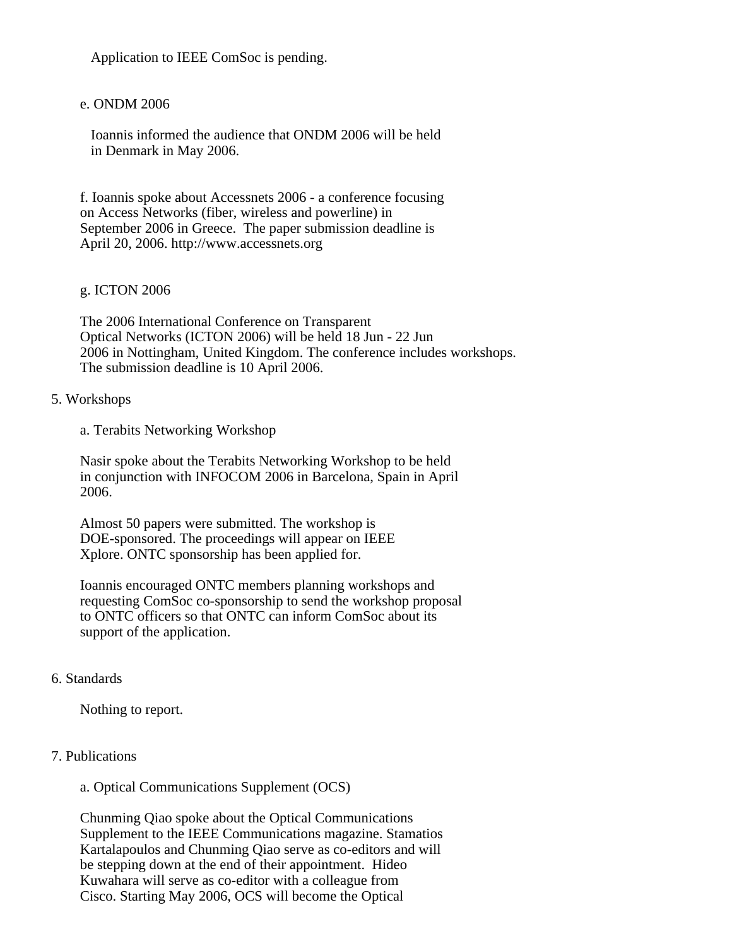Application to IEEE ComSoc is pending.

# e. ONDM 2006

 Ioannis informed the audience that ONDM 2006 will be held in Denmark in May 2006.

f. Ioannis spoke about Accessnets 2006 - a conference focusing on Access Networks (fiber, wireless and powerline) in September 2006 in Greece. The paper submission deadline is April 20, 2006. http://www.accessnets.org

## g. ICTON 2006

The 2006 International Conference on Transparent Optical Networks (ICTON 2006) will be held 18 Jun - 22 Jun 2006 in Nottingham, United Kingdom. The conference includes workshops. The submission deadline is 10 April 2006.

## 5. Workshops

a. Terabits Networking Workshop

Nasir spoke about the Terabits Networking Workshop to be held in conjunction with INFOCOM 2006 in Barcelona, Spain in April 2006.

Almost 50 papers were submitted. The workshop is DOE-sponsored. The proceedings will appear on IEEE Xplore. ONTC sponsorship has been applied for.

Ioannis encouraged ONTC members planning workshops and requesting ComSoc co-sponsorship to send the workshop proposal to ONTC officers so that ONTC can inform ComSoc about its support of the application.

## 6. Standards

Nothing to report.

# 7. Publications

a. Optical Communications Supplement (OCS)

Chunming Qiao spoke about the Optical Communications Supplement to the IEEE Communications magazine. Stamatios Kartalapoulos and Chunming Qiao serve as co-editors and will be stepping down at the end of their appointment. Hideo Kuwahara will serve as co-editor with a colleague from Cisco. Starting May 2006, OCS will become the Optical